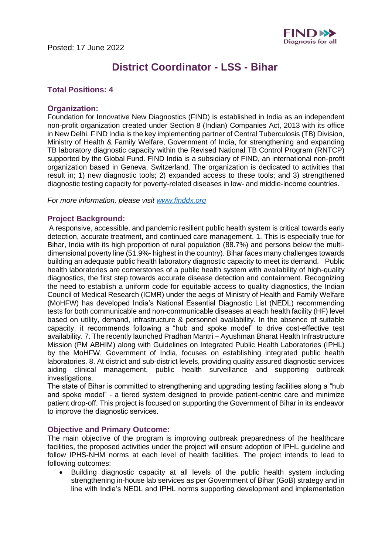

# **District Coordinator - LSS - Bihar**

## **Total Positions: 4**

## **Organization:**

Foundation for Innovative New Diagnostics (FIND) is established in India as an independent non-profit organization created under Section 8 (Indian) Companies Act, 2013 with its office in New Delhi. FIND India is the key implementing partner of Central Tuberculosis (TB) Division, Ministry of Health & Family Welfare, Government of India, for strengthening and expanding TB laboratory diagnostic capacity within the Revised National TB Control Program (RNTCP) supported by the Global Fund. FIND India is a subsidiary of FIND, an international non-profit organization based in Geneva, Switzerland. The organization is dedicated to activities that result in; 1) new diagnostic tools; 2) expanded access to these tools; and 3) strengthened diagnostic testing capacity for poverty-related diseases in low- and middle-income countries. 

*For more information, please visit [www.finddx.org](http://www.finddx.org/)*

#### **Project Background:**

A responsive, accessible, and pandemic resilient public health system is critical towards early detection, accurate treatment, and continued care management. 1. This is especially true for Bihar, India with its high proportion of rural population (88.7%) and persons below the multidimensional poverty line (51.9%- highest in the country). Bihar faces many challenges towards building an adequate public health laboratory diagnostic capacity to meet its demand. Public health laboratories are cornerstones of a public health system with availability of high-quality diagnostics, the first step towards accurate disease detection and containment. Recognizing the need to establish a uniform code for equitable access to quality diagnostics, the Indian Council of Medical Research (ICMR) under the aegis of Ministry of Health and Family Welfare (MoHFW) has developed India's National Essential Diagnostic List (NEDL) recommending tests for both communicable and non-communicable diseases at each health facility (HF) level based on utility, demand, infrastructure & personnel availability. In the absence of suitable capacity, it recommends following a "hub and spoke model" to drive cost-effective test availability. 7. The recently launched Pradhan Mantri – Ayushman Bharat Health Infrastructure Mission (PM ABHIM) along with Guidelines on Integrated Public Health Laboratories (IPHL) by the MoHFW, Government of India, focuses on establishing integrated public health laboratories. 8. At district and sub-district levels, providing quality assured diagnostic services aiding clinical management, public health surveillance and supporting outbreak investigations. 

The state of Bihar is committed to strengthening and upgrading testing facilities along a "hub and spoke model" - a tiered system designed to provide patient-centric care and minimize patient drop-off. This project is focused on supporting the Government of Bihar in its endeavor to improve the diagnostic services. 

#### **Objective and Primary Outcome:**

The main objective of the program is improving outbreak preparedness of the healthcare facilities, the proposed activities under the project will ensure adoption of IPHL guideline and follow IPHS-NHM norms at each level of health facilities. The project intends to lead to following outcomes:

• Building diagnostic capacity at all levels of the public health system including strengthening in-house lab services as per Government of Bihar (GoB) strategy and in line with India's NEDL and IPHL norms supporting development and implementation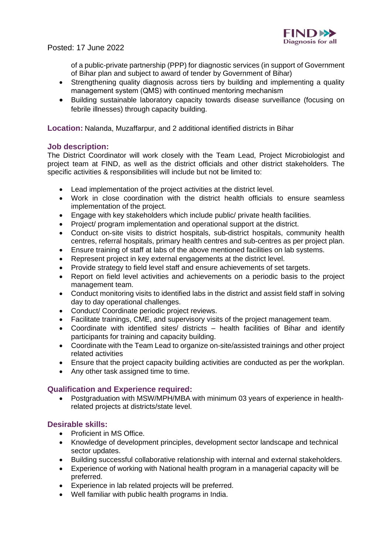

## Posted: 17 June 2022

of a public-private partnership (PPP) for diagnostic services (in support of Government of Bihar plan and subject to award of tender by Government of Bihar)

- Strengthening quality diagnosis across tiers by building and implementing a quality management system (QMS) with continued mentoring mechanism
- Building sustainable laboratory capacity towards disease surveillance (focusing on febrile illnesses) through capacity building.

**Location:** Nalanda, Muzaffarpur, and 2 additional identified districts in Bihar

## **Job description:**

The District Coordinator will work closely with the Team Lead, Project Microbiologist and project team at FIND, as well as the district officials and other district stakeholders. The specific activities & responsibilities will include but not be limited to:

- Lead implementation of the project activities at the district level.
- Work in close coordination with the district health officials to ensure seamless implementation of the project.
- Engage with key stakeholders which include public/ private health facilities.
- Project/ program implementation and operational support at the district.
- Conduct on-site visits to district hospitals, sub-district hospitals, community health centres, referral hospitals, primary health centres and sub-centres as per project plan.
- Ensure training of staff at labs of the above mentioned facilities on lab systems.
- Represent project in key external engagements at the district level.
- Provide strategy to field level staff and ensure achievements of set targets.
- Report on field level activities and achievements on a periodic basis to the project management team.
- Conduct monitoring visits to identified labs in the district and assist field staff in solving day to day operational challenges.
- Conduct/ Coordinate periodic project reviews.
- Facilitate trainings, CME, and supervisory visits of the project management team.
- Coordinate with identified sites/ districts health facilities of Bihar and identify participants for training and capacity building.
- Coordinate with the Team Lead to organize on-site/assisted trainings and other project related activities
- Ensure that the project capacity building activities are conducted as per the workplan.
- Any other task assigned time to time.

## **Qualification and Experience required:**

• Postgraduation with MSW/MPH/MBA with minimum 03 years of experience in healthrelated projects at districts/state level.

## **Desirable skills:**

- Proficient in MS Office.
- Knowledge of development principles, development sector landscape and technical sector updates.
- Building successful collaborative relationship with internal and external stakeholders.
- Experience of working with National health program in a managerial capacity will be preferred.
- Experience in lab related projects will be preferred.
- Well familiar with public health programs in India.